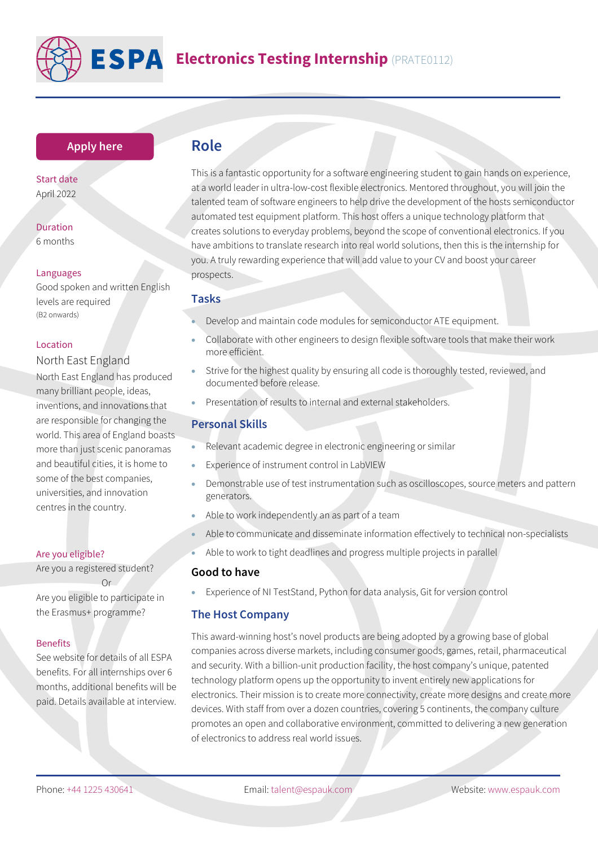

# **Electronics Testing Internship** (PRATE0112)

# **[Apply here](https://www.espauk.com/students/student-application/)**

Start date April 2022

Duration 6 months

#### Languages

Good spoken and written English levels are required (B2 onwards)

#### Location

# North East England

North East England has produced many brilliant people, ideas, inventions, and innovations that are responsible for changing the world. This area of England boasts more than just scenic panoramas and beautiful cities, it is home to some of the best companies, universities, and innovation centres in the country.

#### Are you eligible?

Are you a registered student? Or

Are you eligible to participate in the Erasmus+ programme?

#### Benefits

See website for details of all ESPA benefits. For all internships over 6 months, additional benefits will be paid. Details available at interview.

# **Role**

This is a fantastic opportunity for a software engineering student to gain hands on experience, at a world leader in ultra-low-cost flexible electronics. Mentored throughout, you will join the talented team of software engineers to help drive the development of the hosts semiconductor automated test equipment platform. This host offers a unique technology platform that creates solutions to everyday problems, beyond the scope of conventional electronics. If you have ambitions to translate research into real world solutions, then this is the internship for you. A truly rewarding experience that will add value to your CV and boost your career prospects.

# **Tasks**

- Develop and maintain code modules for semiconductor ATE equipment.
- Collaborate with other engineers to design flexible software tools that make their work more efficient.
- Strive for the highest quality by ensuring all code is thoroughly tested, reviewed, and documented before release.
- Presentation of results to internal and external stakeholders.

# **Personal Skills**

- Relevant academic degree in electronic engineering or similar
- Experience of instrument control in LabVIEW
- Demonstrable use of test instrumentation such as oscilloscopes, source meters and pattern generators.
- Able to work independently an as part of a team
- Able to communicate and disseminate information effectively to technical non-specialists
- Able to work to tight deadlines and progress multiple projects in parallel

# **Good to have**

• Experience of NI TestStand, Python for data analysis, Git for version control

### **The Host Company**

This award-winning host's novel products are being adopted by a growing base of global companies across diverse markets, including consumer goods, games, retail, pharmaceutical and security. With a billion-unit production facility, the host company's unique, patented technology platform opens up the opportunity to invent entirely new applications for electronics. Their mission is to create more connectivity, create more designs and create more devices. With staff from over a dozen countries, covering 5 continents, the company culture promotes an open and collaborative environment, committed to delivering a new generation of electronics to address real world issues.